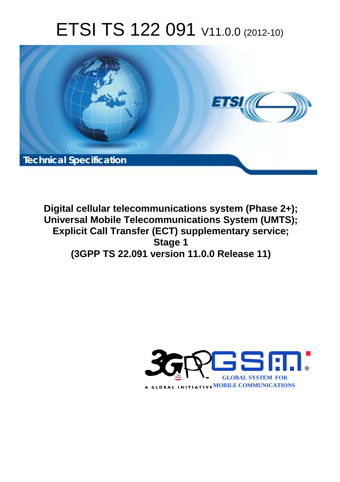# ETSI TS 122 091 V11.0.0 (2012-10)



**Digital cellular telecommunications system (Phase 2+); Universal Mobile Telecommunications System (UMTS); Explicit Call Transfer (ECT) supplementary service; Stage 1 (3GPP TS 22.091 version 11.0.0 Release 11)** 

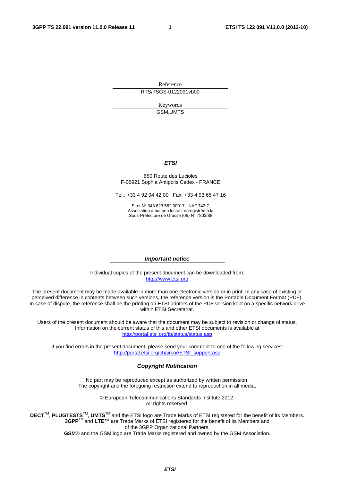Reference RTS/TSGS-0122091vb00

> Keywords GSM,UMTS

#### *ETSI*

#### 650 Route des Lucioles F-06921 Sophia Antipolis Cedex - FRANCE

Tel.: +33 4 92 94 42 00 Fax: +33 4 93 65 47 16

Siret N° 348 623 562 00017 - NAF 742 C Association à but non lucratif enregistrée à la Sous-Préfecture de Grasse (06) N° 7803/88

#### *Important notice*

Individual copies of the present document can be downloaded from: [http://www.etsi.org](http://www.etsi.org/)

The present document may be made available in more than one electronic version or in print. In any case of existing or perceived difference in contents between such versions, the reference version is the Portable Document Format (PDF). In case of dispute, the reference shall be the printing on ETSI printers of the PDF version kept on a specific network drive within ETSI Secretariat.

Users of the present document should be aware that the document may be subject to revision or change of status. Information on the current status of this and other ETSI documents is available at <http://portal.etsi.org/tb/status/status.asp>

If you find errors in the present document, please send your comment to one of the following services: [http://portal.etsi.org/chaircor/ETSI\\_support.asp](http://portal.etsi.org/chaircor/ETSI_support.asp)

#### *Copyright Notification*

No part may be reproduced except as authorized by written permission. The copyright and the foregoing restriction extend to reproduction in all media.

> © European Telecommunications Standards Institute 2012. All rights reserved.

DECT<sup>™</sup>, PLUGTESTS<sup>™</sup>, UMTS<sup>™</sup> and the ETSI logo are Trade Marks of ETSI registered for the benefit of its Members. **3GPP**TM and **LTE**™ are Trade Marks of ETSI registered for the benefit of its Members and of the 3GPP Organizational Partners.

**GSM**® and the GSM logo are Trade Marks registered and owned by the GSM Association.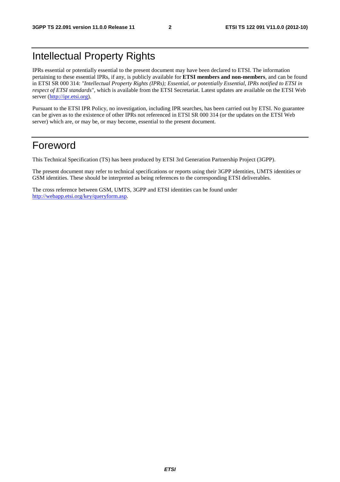# Intellectual Property Rights

IPRs essential or potentially essential to the present document may have been declared to ETSI. The information pertaining to these essential IPRs, if any, is publicly available for **ETSI members and non-members**, and can be found in ETSI SR 000 314: *"Intellectual Property Rights (IPRs); Essential, or potentially Essential, IPRs notified to ETSI in respect of ETSI standards"*, which is available from the ETSI Secretariat. Latest updates are available on the ETSI Web server ([http://ipr.etsi.org\)](http://webapp.etsi.org/IPR/home.asp).

Pursuant to the ETSI IPR Policy, no investigation, including IPR searches, has been carried out by ETSI. No guarantee can be given as to the existence of other IPRs not referenced in ETSI SR 000 314 (or the updates on the ETSI Web server) which are, or may be, or may become, essential to the present document.

### Foreword

This Technical Specification (TS) has been produced by ETSI 3rd Generation Partnership Project (3GPP).

The present document may refer to technical specifications or reports using their 3GPP identities, UMTS identities or GSM identities. These should be interpreted as being references to the corresponding ETSI deliverables.

The cross reference between GSM, UMTS, 3GPP and ETSI identities can be found under [http://webapp.etsi.org/key/queryform.asp.](http://webapp.etsi.org/key/queryform.asp)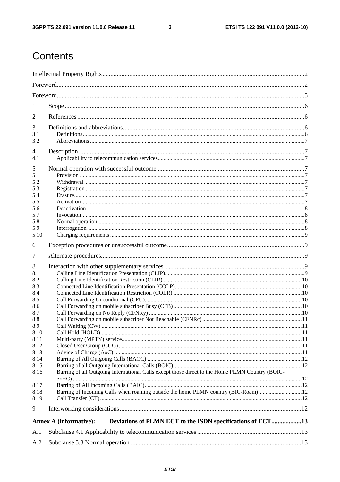$\mathbf{3}$ 

# Contents

| 1          |                                                                                                 |  |  |  |  |  |
|------------|-------------------------------------------------------------------------------------------------|--|--|--|--|--|
| 2          |                                                                                                 |  |  |  |  |  |
| 3          |                                                                                                 |  |  |  |  |  |
| 3.1        |                                                                                                 |  |  |  |  |  |
| 3.2        |                                                                                                 |  |  |  |  |  |
| 4          |                                                                                                 |  |  |  |  |  |
| 4.1        |                                                                                                 |  |  |  |  |  |
| 5          |                                                                                                 |  |  |  |  |  |
| 5.1<br>5.2 |                                                                                                 |  |  |  |  |  |
| 5.3        |                                                                                                 |  |  |  |  |  |
| 5.4        |                                                                                                 |  |  |  |  |  |
| 5.5        |                                                                                                 |  |  |  |  |  |
| 5.6<br>5.7 |                                                                                                 |  |  |  |  |  |
| 5.8        |                                                                                                 |  |  |  |  |  |
| 5.9        |                                                                                                 |  |  |  |  |  |
| 5.10       |                                                                                                 |  |  |  |  |  |
| 6          |                                                                                                 |  |  |  |  |  |
| 7          |                                                                                                 |  |  |  |  |  |
| 8          |                                                                                                 |  |  |  |  |  |
| 8.1        |                                                                                                 |  |  |  |  |  |
| 8.2        |                                                                                                 |  |  |  |  |  |
| 8.3<br>8.4 |                                                                                                 |  |  |  |  |  |
| 8.5        |                                                                                                 |  |  |  |  |  |
| 8.6        |                                                                                                 |  |  |  |  |  |
| 8.7        |                                                                                                 |  |  |  |  |  |
| 8.8<br>8.9 |                                                                                                 |  |  |  |  |  |
| 8.10       |                                                                                                 |  |  |  |  |  |
| 8.11       |                                                                                                 |  |  |  |  |  |
| 8.12       |                                                                                                 |  |  |  |  |  |
| 8.13       |                                                                                                 |  |  |  |  |  |
| 8.14       |                                                                                                 |  |  |  |  |  |
| 8.15       |                                                                                                 |  |  |  |  |  |
| 8.16       | Barring of all Outgoing International Calls except those direct to the Home PLMN Country (BOIC- |  |  |  |  |  |
| 8.17       |                                                                                                 |  |  |  |  |  |
| 8.18       | Barring of Incoming Calls when roaming outside the home PLMN country (BIC-Roam)12               |  |  |  |  |  |
| 8.19       |                                                                                                 |  |  |  |  |  |
| 9          |                                                                                                 |  |  |  |  |  |
|            | Deviations of PLMN ECT to the ISDN specifications of ECT13<br><b>Annex A (informative):</b>     |  |  |  |  |  |
| A.1        |                                                                                                 |  |  |  |  |  |
|            |                                                                                                 |  |  |  |  |  |
| A.2        |                                                                                                 |  |  |  |  |  |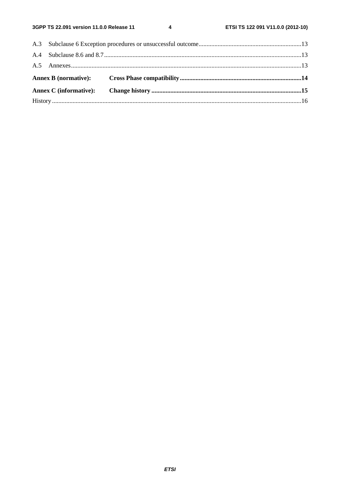$\overline{\mathbf{4}}$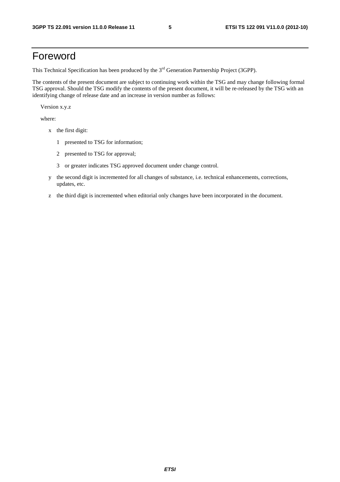## Foreword

This Technical Specification has been produced by the 3<sup>rd</sup> Generation Partnership Project (3GPP).

The contents of the present document are subject to continuing work within the TSG and may change following formal TSG approval. Should the TSG modify the contents of the present document, it will be re-released by the TSG with an identifying change of release date and an increase in version number as follows:

Version x.y.z

where:

- x the first digit:
	- 1 presented to TSG for information;
	- 2 presented to TSG for approval;
	- 3 or greater indicates TSG approved document under change control.
- y the second digit is incremented for all changes of substance, i.e. technical enhancements, corrections, updates, etc.
- z the third digit is incremented when editorial only changes have been incorporated in the document.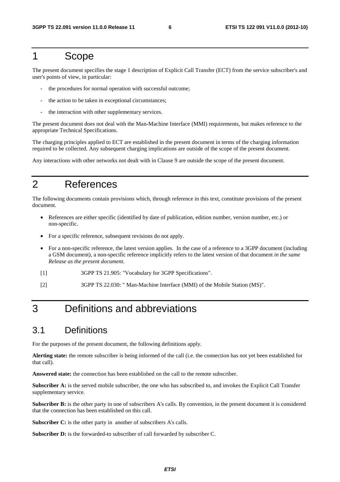#### 1 Scope

The present document specifies the stage 1 description of Explicit Call Transfer (ECT) from the service subscriber's and user's points of view, in particular:

- the procedures for normal operation with successful outcome;
- the action to be taken in exceptional circumstances;
- the interaction with other supplementary services.

The present document does not deal with the Man-Machine Interface (MMI) requirements, but makes reference to the appropriate Technical Specifications.

The charging principles applied to ECT are established in the present document in terms of the charging information required to be collected. Any subsequent charging implications are outside of the scope of the present document.

Any interactions with other networks not dealt with in Clause 9 are outside the scope of the present document.

# 2 References

The following documents contain provisions which, through reference in this text, constitute provisions of the present document.

- References are either specific (identified by date of publication, edition number, version number, etc.) or non-specific.
- For a specific reference, subsequent revisions do not apply.
- For a non-specific reference, the latest version applies. In the case of a reference to a 3GPP document (including a GSM document), a non-specific reference implicitly refers to the latest version of that document *in the same Release as the present document*.
- [1] 3GPP TS 21.905: "Vocabulary for 3GPP Specifications".
- [2] 3GPP TS 22.030: " Man-Machine Interface (MMI) of the Mobile Station (MS)".

# 3 Definitions and abbreviations

#### 3.1 Definitions

For the purposes of the present document, the following definitions apply.

**Alerting state:** the remote subscriber is being informed of the call (i.e. the connection has not yet been established for that call).

**Answered state:** the connection has been established on the call to the remote subscriber.

**Subscriber A:** is the served mobile subscriber, the one who has subscribed to, and invokes the Explicit Call Transfer supplementary service.

**Subscriber B:** is the other party in one of subscribers A's calls. By convention, in the present document it is considered that the connection has been established on this call.

**Subscriber C:** is the other party in another of subscribers A's calls.

Subscriber D: is the forwarded-to subscriber of call forwarded by subscriber C.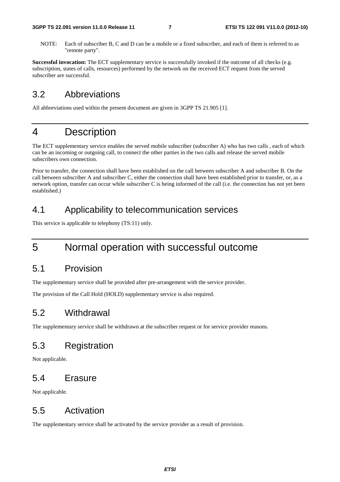NOTE: Each of subscriber B, C and D can be a mobile or a fixed subscriber, and each of them is referred to as "remote party".

**Successful invocation:** The ECT supplementary service is successfully invoked if the outcome of all checks (e.g. subscription, states of calls, resources) performed by the network on the received ECT request from the served subscriber are successful.

#### 3.2 Abbreviations

All abbreviations used within the present document are given in 3GPP TS 21.905 [1].

#### 4 Description

The ECT supplementary service enables the served mobile subscriber (subscriber A) who has two calls , each of which can be an incoming or outgoing call, to connect the other parties in the two calls and release the served mobile subscribers own connection.

Prior to transfer, the connection shall have been established on the call between subscriber A and subscriber B. On the call between subscriber A and subscriber C, either the connection shall have been established prior to transfer, or, as a network option, transfer can occur while subscriber C is being informed of the call (i.e. the connection has not yet been established.)

#### 4.1 Applicability to telecommunication services

This service is applicable to telephony (TS:11) only.

### 5 Normal operation with successful outcome

#### 5.1 Provision

The supplementary service shall be provided after pre-arrangement with the service provider.

The provision of the Call Hold (HOLD) supplementary service is also required.

#### 5.2 Withdrawal

The supplementary service shall be withdrawn at the subscriber request or for service provider reasons.

#### 5.3 Registration

Not applicable.

#### 5.4 Erasure

Not applicable.

#### 5.5 Activation

The supplementary service shall be activated by the service provider as a result of provision.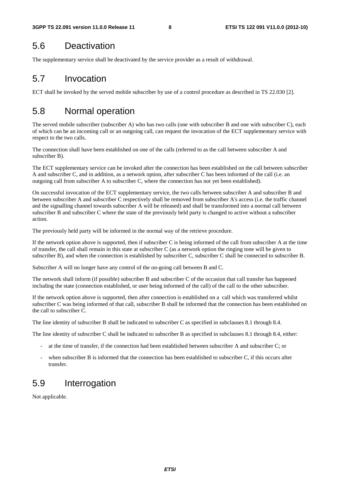### 5.6 Deactivation

The supplementary service shall be deactivated by the service provider as a result of withdrawal.

## 5.7 Invocation

ECT shall be invoked by the served mobile subscriber by use of a control procedure as described in TS 22.030 [2].

# 5.8 Normal operation

The served mobile subscriber (subscriber A) who has two calls (one with subscriber B and one with subscriber C), each of which can be an incoming call or an outgoing call, can request the invocation of the ECT supplementary service with respect to the two calls.

The connection shall have been established on one of the calls (referred to as the call between subscriber A and subscriber B).

The ECT supplementary service can be invoked after the connection has been established on the call between subscriber A and subscriber C, and in addition, as a network option, after subscriber C has been informed of the call (i.e. an outgoing call from subscriber A to subscriber C, where the connection has not yet been established).

On successful invocation of the ECT supplementary service, the two calls between subscriber A and subscriber B and between subscriber A and subscriber C respectively shall be removed from subscriber A's access (i.e. the traffic channel and the signalling channel towards subscriber A will be released) and shall be transformed into a normal call between subscriber B and subscriber C where the state of the previously held party is changed to active without a subscriber action.

The previously held party will be informed in the normal way of the retrieve procedure.

If the network option above is supported, then if subscriber C is being informed of the call from subscriber A at the time of transfer, the call shall remain in this state at subscriber C (as a network option the ringing tone will be given to subscriber B), and when the connection is established by subscriber C, subscriber C shall be connected to subscriber B.

Subscriber A will no longer have any control of the on-going call between B and C.

The network shall inform (if possible) subscriber B and subscriber C of the occasion that call transfer has happened including the state (connection established, or user being informed of the call) of the call to the other subscriber.

If the network option above is supported, then after connection is established on a call which was transferred whilst subscriber C was being informed of that call, subscriber B shall be informed that the connection has been established on the call to subscriber C.

The line identity of subscriber B shall be indicated to subscriber C as specified in subclauses 8.1 through 8.4.

The line identity of subscriber C shall be indicated to subscriber B as specified in subclauses 8.1 through 8.4, either:

- at the time of transfer, if the connection had been established between subscriber A and subscriber C; or
- when subscriber B is informed that the connection has been established to subscriber C, if this occurs after transfer.

#### 5.9 Interrogation

Not applicable.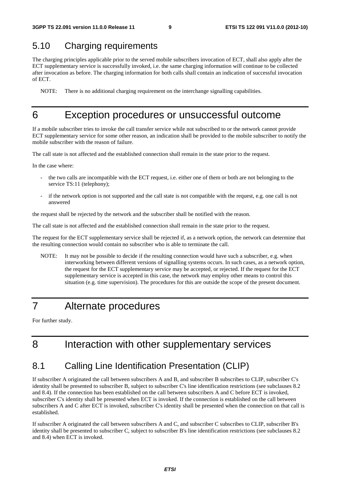#### 5.10 Charging requirements

The charging principles applicable prior to the served mobile subscribers invocation of ECT, shall also apply after the ECT supplementary service is successfully invoked, i.e. the same charging information will continue to be collected after invocation as before. The charging information for both calls shall contain an indication of successful invocation of ECT.

NOTE: There is no additional charging requirement on the interchange signalling capabilities.

#### 6 Exception procedures or unsuccessful outcome

If a mobile subscriber tries to invoke the call transfer service while not subscribed to or the network cannot provide ECT supplementary service for some other reason, an indication shall be provided to the mobile subscriber to notify the mobile subscriber with the reason of failure.

The call state is not affected and the established connection shall remain in the state prior to the request.

In the case where:

- the two calls are incompatible with the ECT request, i.e. either one of them or both are not belonging to the service TS:11 (telephony);
- if the network option is not supported and the call state is not compatible with the request, e.g. one call is not answered

the request shall be rejected by the network and the subscriber shall be notified with the reason.

The call state is not affected and the established connection shall remain in the state prior to the request.

The request for the ECT supplementary service shall be rejected if, as a network option, the network can determine that the resulting connection would contain no subscriber who is able to terminate the call.

NOTE: It may not be possible to decide if the resulting connection would have such a subscriber, e.g. when interworking between different versions of signalling systems occurs. In such cases, as a network option, the request for the ECT supplementary service may be accepted, or rejected. If the request for the ECT supplementary service is accepted in this case, the network may employ other means to control this situation (e.g. time supervision). The procedures for this are outside the scope of the present document.

# 7 Alternate procedures

For further study.

# 8 Interaction with other supplementary services

#### 8.1 Calling Line Identification Presentation (CLIP)

If subscriber A originated the call between subscribers A and B, and subscriber B subscribes to CLIP, subscriber C's identity shall be presented to subscriber B, subject to subscriber C's line identification restrictions (see subclauses 8.2 and 8.4). If the connection has been established on the call between subscribers A and C before ECT is invoked, subscriber C's identity shall be presented when ECT is invoked. If the connection is established on the call between subscribers A and C after ECT is invoked, subscriber C's identity shall be presented when the connection on that call is established.

If subscriber A originated the call between subscribers A and C, and subscriber C subscribes to CLIP, subscriber B's identity shall be presented to subscriber C, subject to subscriber B's line identification restrictions (see subclauses 8.2 and 8.4) when ECT is invoked.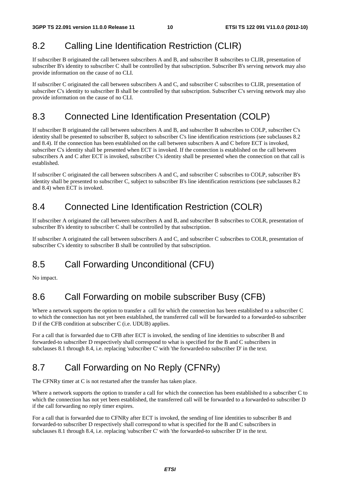#### 8.2 Calling Line Identification Restriction (CLIR)

If subscriber B originated the call between subscribers A and B, and subscriber B subscribes to CLIR, presentation of subscriber B's identity to subscriber C shall be controlled by that subscription. Subscriber B's serving network may also provide information on the cause of no CLI.

If subscriber C originated the call between subscribers A and C, and subscriber C subscribes to CLIR, presentation of subscriber C's identity to subscriber B shall be controlled by that subscription. Subscriber C's serving network may also provide information on the cause of no CLI.

#### 8.3 Connected Line Identification Presentation (COLP)

If subscriber B originated the call between subscribers A and B, and subscriber B subscribes to COLP, subscriber C's identity shall be presented to subscriber B, subject to subscriber C's line identification restrictions (see subclauses 8.2 and 8.4). If the connection has been established on the call between subscribers A and C before ECT is invoked, subscriber C's identity shall be presented when ECT is invoked. If the connection is established on the call between subscribers A and C after ECT is invoked, subscriber C's identity shall be presented when the connection on that call is established.

If subscriber C originated the call between subscribers A and C, and subscriber C subscribes to COLP, subscriber B's identity shall be presented to subscriber C, subject to subscriber B's line identification restrictions (see subclauses 8.2 and 8.4) when ECT is invoked.

#### 8.4 Connected Line Identification Restriction (COLR)

If subscriber A originated the call between subscribers A and B, and subscriber B subscribes to COLR, presentation of subscriber B's identity to subscriber C shall be controlled by that subscription.

If subscriber A originated the call between subscribers A and C, and subscriber C subscribes to COLR, presentation of subscriber C's identity to subscriber B shall be controlled by that subscription.

# 8.5 Call Forwarding Unconditional (CFU)

No impact.

# 8.6 Call Forwarding on mobile subscriber Busy (CFB)

Where a network supports the option to transfer a call for which the connection has been established to a subscriber C to which the connection has not yet been established, the transferred call will be forwarded to a forwarded-to subscriber D if the CFB condition at subscriber C (i.e. UDUB) applies.

For a call that is forwarded due to CFB after ECT is invoked, the sending of line identities to subscriber B and forwarded-to subscriber D respectively shall correspond to what is specified for the B and C subscribers in subclauses 8.1 through 8.4, i.e. replacing 'subscriber C' with 'the forwarded-to subscriber D' in the text.

# 8.7 Call Forwarding on No Reply (CFNRy)

The CFNRy timer at C is not restarted after the transfer has taken place.

Where a network supports the option to transfer a call for which the connection has been established to a subscriber C to which the connection has not yet been established, the transferred call will be forwarded to a forwarded-to subscriber D if the call forwarding no reply timer expires.

For a call that is forwarded due to CFNRy after ECT is invoked, the sending of line identities to subscriber B and forwarded-to subscriber D respectively shall correspond to what is specified for the B and C subscribers in subclauses 8.1 through 8.4, i.e. replacing 'subscriber C' with 'the forwarded-to subscriber D' in the text.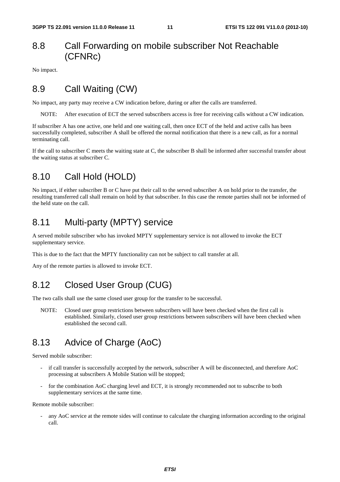#### 8.8 Call Forwarding on mobile subscriber Not Reachable (CFNRc)

No impact.

#### 8.9 Call Waiting (CW)

No impact, any party may receive a CW indication before, during or after the calls are transferred.

NOTE: After execution of ECT the served subscribers access is free for receiving calls without a CW indication.

If subscriber A has one active, one held and one waiting call, then once ECT of the held and active calls has been successfully completed, subscriber A shall be offered the normal notification that there is a new call, as for a normal terminating call.

If the call to subscriber C meets the waiting state at C, the subscriber B shall be informed after successful transfer about the waiting status at subscriber C.

#### 8.10 Call Hold (HOLD)

No impact, if either subscriber B or C have put their call to the served subscriber A on hold prior to the transfer, the resulting transferred call shall remain on hold by that subscriber. In this case the remote parties shall not be informed of the held state on the call.

#### 8.11 Multi-party (MPTY) service

A served mobile subscriber who has invoked MPTY supplementary service is not allowed to invoke the ECT supplementary service.

This is due to the fact that the MPTY functionality can not be subject to call transfer at all.

Any of the remote parties is allowed to invoke ECT.

#### 8.12 Closed User Group (CUG)

The two calls shall use the same closed user group for the transfer to be successful.

NOTE: Closed user group restrictions between subscribers will have been checked when the first call is established. Similarly, closed user group restrictions between subscribers will have been checked when established the second call.

### 8.13 Advice of Charge (AoC)

Served mobile subscriber:

- if call transfer is successfully accepted by the network, subscriber A will be disconnected, and therefore AoC processing at subscribers A Mobile Station will be stopped;
- for the combination AoC charging level and ECT, it is strongly recommended not to subscribe to both supplementary services at the same time.

Remote mobile subscriber:

any AoC service at the remote sides will continue to calculate the charging information according to the original call.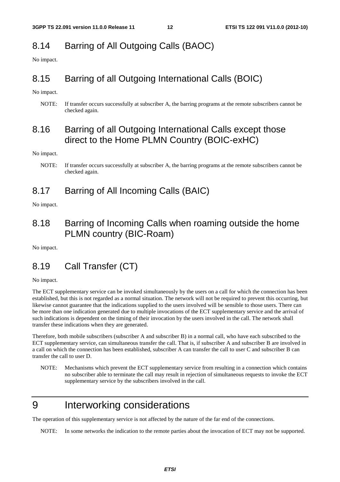# 8.14 Barring of All Outgoing Calls (BAOC)

No impact.

#### 8.15 Barring of all Outgoing International Calls (BOIC)

No impact.

NOTE: If transfer occurs successfully at subscriber A, the barring programs at the remote subscribers cannot be checked again.

#### 8.16 Barring of all Outgoing International Calls except those direct to the Home PLMN Country (BOIC-exHC)

No impact.

#### 8.17 Barring of All Incoming Calls (BAIC)

No impact.

#### 8.18 Barring of Incoming Calls when roaming outside the home PLMN country (BIC-Roam)

No impact.

### 8.19 Call Transfer (CT)

No impact.

The ECT supplementary service can be invoked simultaneously by the users on a call for which the connection has been established, but this is not regarded as a normal situation. The network will not be required to prevent this occurring, but likewise cannot guarantee that the indications supplied to the users involved will be sensible to those users. There can be more than one indication generated due to multiple invocations of the ECT supplementary service and the arrival of such indications is dependent on the timing of their invocation by the users involved in the call. The network shall transfer these indications when they are generated.

Therefore, both mobile subscribers (subscriber A and subscriber B) in a normal call, who have each subscribed to the ECT supplementary service, can simultaneous transfer the call. That is, if subscriber A and subscriber B are involved in a call on which the connection has been established, subscriber A can transfer the call to user C and subscriber B can transfer the call to user D.

NOTE: Mechanisms which prevent the ECT supplementary service from resulting in a connection which contains no subscriber able to terminate the call may result in rejection of simultaneous requests to invoke the ECT supplementary service by the subscribers involved in the call.

# 9 Interworking considerations

The operation of this supplementary service is not affected by the nature of the far end of the connections.

NOTE: In some networks the indication to the remote parties about the invocation of ECT may not be supported.

NOTE: If transfer occurs successfully at subscriber A, the barring programs at the remote subscribers cannot be checked again.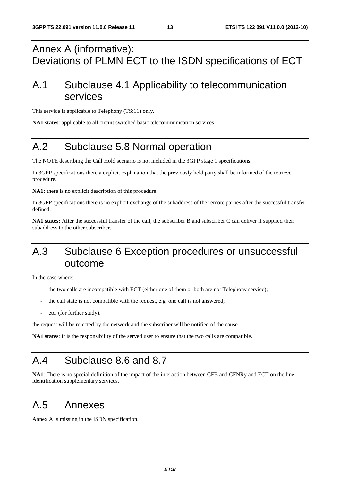# Annex A (informative): Deviations of PLMN ECT to the ISDN specifications of ECT

# A.1 Subclause 4.1 Applicability to telecommunication services

This service is applicable to Telephony (TS:11) only.

**NA1 states**: applicable to all circuit switched basic telecommunication services.

# A.2 Subclause 5.8 Normal operation

The NOTE describing the Call Hold scenario is not included in the 3GPP stage 1 specifications.

In 3GPP specifications there a explicit explanation that the previously held party shall be informed of the retrieve procedure.

**NA1:** there is no explicit description of this procedure.

In 3GPP specifications there is no explicit exchange of the subaddress of the remote parties after the successful transfer defined.

**NA1 states:** After the successful transfer of the call, the subscriber B and subscriber C can deliver if supplied their subaddress to the other subscriber.

# A.3 Subclause 6 Exception procedures or unsuccessful outcome

In the case where:

- the two calls are incompatible with ECT (either one of them or both are not Telephony service);
- the call state is not compatible with the request, e.g. one call is not answered;
- etc. (for further study).

the request will be rejected by the network and the subscriber will be notified of the cause.

**NA1 states**: It is the responsibility of the served user to ensure that the two calls are compatible.

# A.4 Subclause 8.6 and 8.7

**NA1**: There is no special definition of the impact of the interaction between CFB and CFNRy and ECT on the line identification supplementary services.

### A.5 Annexes

Annex A is missing in the ISDN specification.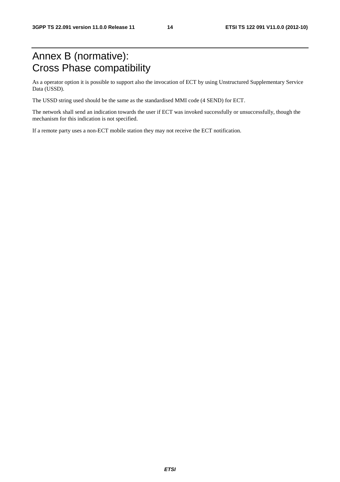# Annex B (normative): Cross Phase compatibility

As a operator option it is possible to support also the invocation of ECT by using Unstructured Supplementary Service Data (USSD).

The USSD string used should be the same as the standardised MMI code (4 SEND) for ECT.

The network shall send an indication towards the user if ECT was invoked successfully or unsuccessfully, though the mechanism for this indication is not specified.

If a remote party uses a non-ECT mobile station they may not receive the ECT notification.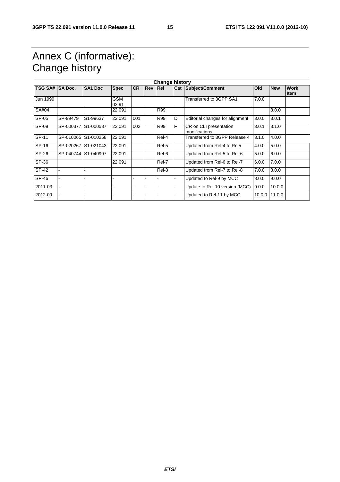# Annex C (informative): Change history

| <b>Change history</b> |                |                     |                     |           |     |            |   |                                         |            |               |                     |
|-----------------------|----------------|---------------------|---------------------|-----------|-----|------------|---|-----------------------------------------|------------|---------------|---------------------|
| <b>TSG SA#</b>        | <b>SA Doc.</b> | SA <sub>1</sub> Doc | <b>Spec</b>         | <b>CR</b> | Rev | <b>Rel</b> |   | <b>Cat Subject/Comment</b>              | <b>Old</b> | <b>New</b>    | <b>Work</b><br>ltem |
| Jun 1999              |                |                     | <b>GSM</b><br>02.91 |           |     |            |   | Transferred to 3GPP SA1                 | 7.0.0      |               |                     |
| SA#04                 |                |                     | 22.091              |           |     | R99        |   |                                         |            | 3.0.0         |                     |
| SP-05                 | SP-99479       | S1-99637            | 22.091              | 001       |     | R99        | D | Editorial changes for alignment         | 3.0.0      | 3.0.1         |                     |
| SP-09                 |                | SP-000377 S1-000587 | 22.091              | 002       |     | R99        | F | CR on CLI presentation<br>modifications | 3.0.1      | 3.1.0         |                     |
| SP-11                 |                | SP-010065 S1-010258 | 22.091              |           |     | Rel-4      |   | Transferred to 3GPP Release 4           | 3.1.0      | 4.0.0         |                     |
| SP-16                 |                | SP-020267 S1-021043 | 22.091              |           |     | Rel-5      |   | Updated from Rel-4 to Rel5              | 4.0.0      | 5.0.0         |                     |
| SP-26                 |                | SP-040744 S1-040997 | 22.091              |           |     | Rel-6      |   | Updated from Rel-5 to Rel-6             | 5.0.0      | 6.0.0         |                     |
| SP-36                 |                |                     | 22.091              |           |     | Rel-7      |   | Updated from Rel-6 to Rel-7             | 6.0.0      | 7.0.0         |                     |
| SP-42                 |                |                     |                     |           |     | Rel-8      |   | Updated from Rel-7 to Rel-8             | 7.0.0      | 8.0.0         |                     |
| SP-46                 |                |                     |                     |           | ۰   |            |   | Updated to Rel-9 by MCC                 | 8.0.0      | 9.0.0         |                     |
| 2011-03               |                |                     | ٠                   |           | ۰   |            | - | Update to Rel-10 version (MCC)          | 9.0.0      | 10.0.0        |                     |
| 2012-09               |                |                     | -                   |           | -   |            | ۰ | Updated to Rel-11 by MCC                |            | 10.0.0 11.0.0 |                     |